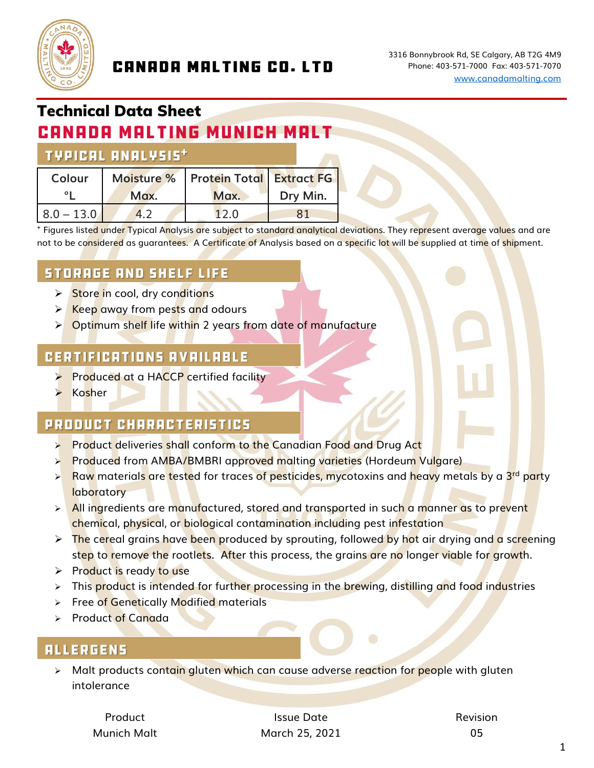

### **CANADA MALTING CO. LTD**

# Technical Data Sheet

## **CANADA MALTING MUNICH MALT**

#### **TYPICAL ANALYSIS\***

| Colour       |      | Moisture %   Protein Total   Extract FG |          |
|--------------|------|-----------------------------------------|----------|
|              | Max. | Max.                                    | Dry Min. |
| $8.0 - 13.0$ | 4.2  | 12.0                                    |          |

+ Figures liste<mark>d u</mark>nder Typical Analysis are subject to standard analytical deviations. They represent average values and are not to be considered as guarantees.A Certificate of Analysis based on a specific lot will be supplied at time of shipment.

#### **STORAGE AND SHELF LIFE**

- **► Store in cool, dry conditions**
- ➢ Keep away from pests and odours
- ➢ Optimum shelf life within 2 years from date of manufacture

#### **CERTIFICATIONS AVAILABLE**

- **►** Produced at a HACCP certified facility
- **Kosher**

#### **PRODUCT CHARACTERISTICS**

- ➢ Product deliveries shall conform to the Canadian Food and Drug Act
- ➢ Produced from AMBA/BMBRI approved malting varieties (Hordeum Vulgare)
- ➢ Raw materials are tested for traces of pesticides, mycotoxins and heavy metals by a 3rd party **laboratory**
- $\triangleright$  All ingredients are manufactured, stored and transported in such a manner as to prevent chemical, physical, or biological contamination including pest infestation
- $\triangleright$  The cereal grains have been produced by sprouting, followed by hot air drying and a screening step to remove the rootlets. After this process, the grains are no longer viable for growth.
- ➢ Product is ready to use
- > This product is intended for further processing in the brewing, distilling and food industries
- ➢ Free of Genetically Modified materials
- ➢ Product of Canada

#### **ALLERGENS**

➢ Malt products contain gluten which can cause adverse reaction for people with gluten intolerance

Product **Issue Date Issue Date Issue Date Revision** Munich Malt March 25, 2021 05